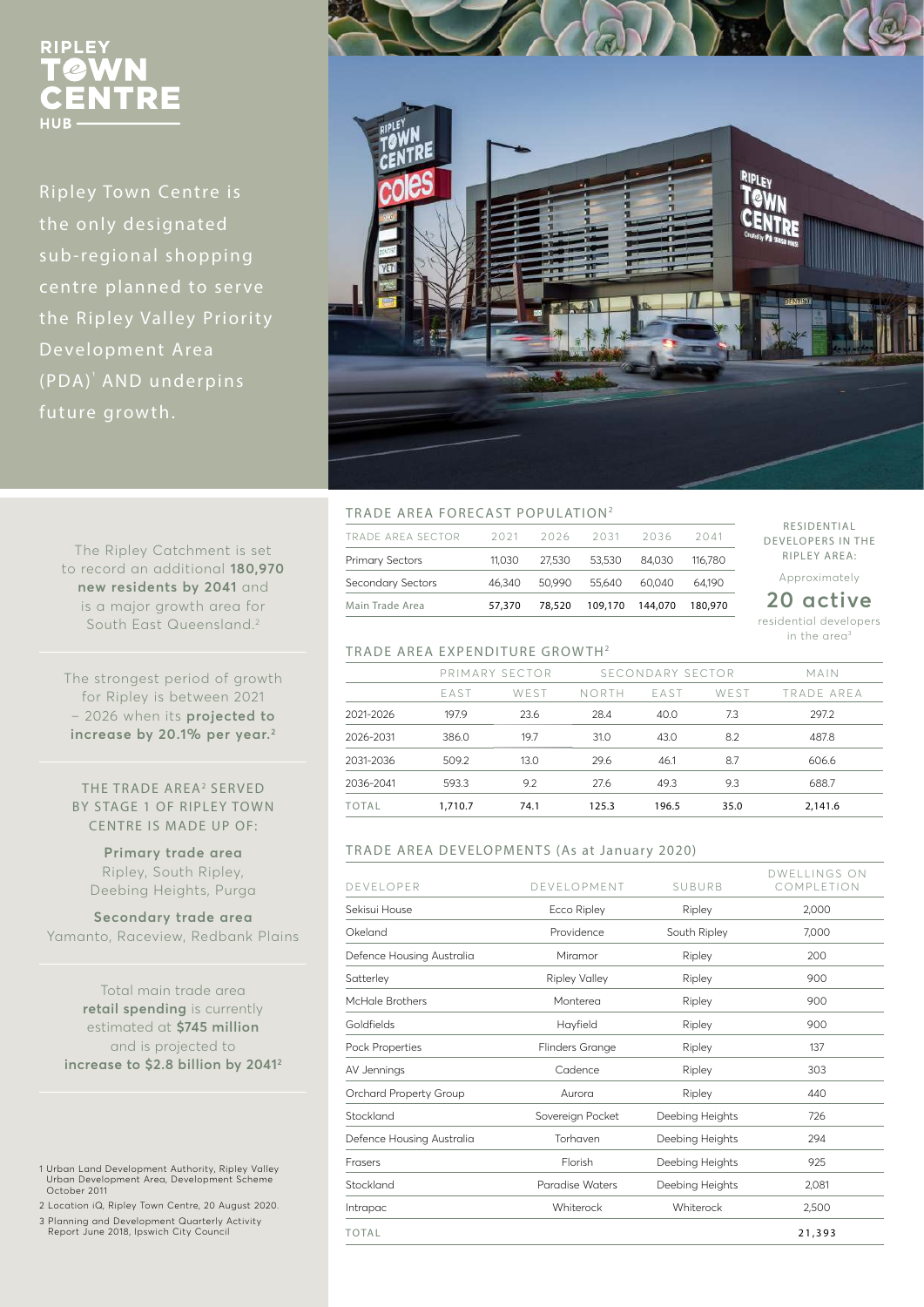# **RIPLE JUR**

Ripley Town Centre is the only designated sub -regional shopping centre planned to serve the Ripley Valley Priority Development Area (PDA) AND underpins future growth.



#### TRADE AREA FORECAST POPULATION<sup>2</sup>

| TRADE AREA SECTOR<br>2026<br>2021<br>2031<br>2036<br>2041<br><b>Primary Sectors</b><br>53,530<br>84.030<br>27.530<br>116.780<br>11.030<br><b>Secondary Sectors</b><br>50.990<br>46.340<br>55.640<br>64.190<br>60.040 | Main Trade Area | 57,370 | 78,520 | 109,170 | 144,070 | 180,970 |
|----------------------------------------------------------------------------------------------------------------------------------------------------------------------------------------------------------------------|-----------------|--------|--------|---------|---------|---------|
|                                                                                                                                                                                                                      |                 |        |        |         |         |         |
|                                                                                                                                                                                                                      |                 |        |        |         |         |         |
|                                                                                                                                                                                                                      |                 |        |        |         |         |         |

The Ripley Catchment is set to record an additional **180,970 new residents by 2041** and is a major growth area for South East Queensland.<sup>2</sup>

The strongest period of growth for Ripley is between 2021 – 2026 when its **projected to increase by 20.1% per year.<sup>2</sup>**

THE TRADE AREA<sup>2</sup> SERVED BY STAGE 1 OF RIPLEY TOWN CENTRE IS MADE UP OF:

**Primary trade area** Ripley, South Ripley, Deebing Heights, Purga

**Secondary trade area**  Yamanto, Raceview, Redbank Plains

Total main trade area **retail spending** is currently estimated at **\$745 million**  and is projected to **increase to \$2.8 billion by 2041<sup>2</sup>**

1 Urban Land Development Authority, Ripley Valley Urban Development Area, Development Scheme October 2011

2 Location iQ, Ripley Town Centre, 20 August 2020.

3 Planning and Development Quarterly Activity Report June 2018, Ipswich City Council

### TRADE AREA EXPENDITURE GROWTH<sup>2</sup>

|              | FAST    | WEST | NORTH | <b>FAST</b> | WEST | TRADE AREA |
|--------------|---------|------|-------|-------------|------|------------|
| 2021-2026    | 197.9   | 23.6 | 28.4  | 40.0        | 7.3  | 297.2      |
| 2026-2031    | 386.0   | 19.7 | 31.0  | 43.0        | 8.2  | 487.8      |
| 2031-2036    | 509.2   | 13.0 | 29.6  | 46.1        | 8.7  | 606.6      |
| 2036-2041    | 593.3   | 9.2  | 27.6  | 49.3        | 9.3  | 688.7      |
| <b>TOTAL</b> | 1,710.7 | 74.1 | 125.3 | 196.5       | 35.0 | 2,141.6    |

RESIDENTIAL DE VELOPERS IN THE RIPLEY AREA: Approximately **20 active**  residential developers in the area<sup>3</sup>

#### TRADE AREA DEVELOPMENTS (As at January 2020)

| DEVELOPER                 | DEVELOPMENT          | SUBURB          | DWELLINGS ON<br>COMPLETION |
|---------------------------|----------------------|-----------------|----------------------------|
| Sekisui House             | Ecco Ripley          | Ripley          | 2,000                      |
| Okeland                   | Providence           | South Ripley    | 7,000                      |
| Defence Housing Australia | Miramor              | Ripley          | 200                        |
| Satterley                 | <b>Ripley Valley</b> | Ripley          | 900                        |
| McHale Brothers           | Monterea             | Ripley          |                            |
| Goldfields                | Hayfield             | Ripley          | 900                        |
| Pock Properties           | Flinders Grange      | Ripley          | 137                        |
| AV Jennings               | Cadence              | Ripley          | 303                        |
| Orchard Property Group    | Aurora               | Ripley          | 440                        |
| Stockland                 | Sovereign Pocket     | Deebing Heights | 726                        |
| Defence Housing Australia | Torhaven             | Deebing Heights | 294                        |
| Frasers                   | Florish              | Deebing Heights | 925                        |
| Stockland                 | Paradise Waters      | Deebing Heights | 2,081                      |
| Intrapac                  | Whiterock            | Whiterock       | 2,500                      |
| <b>TOTAL</b>              |                      |                 | 21,393                     |